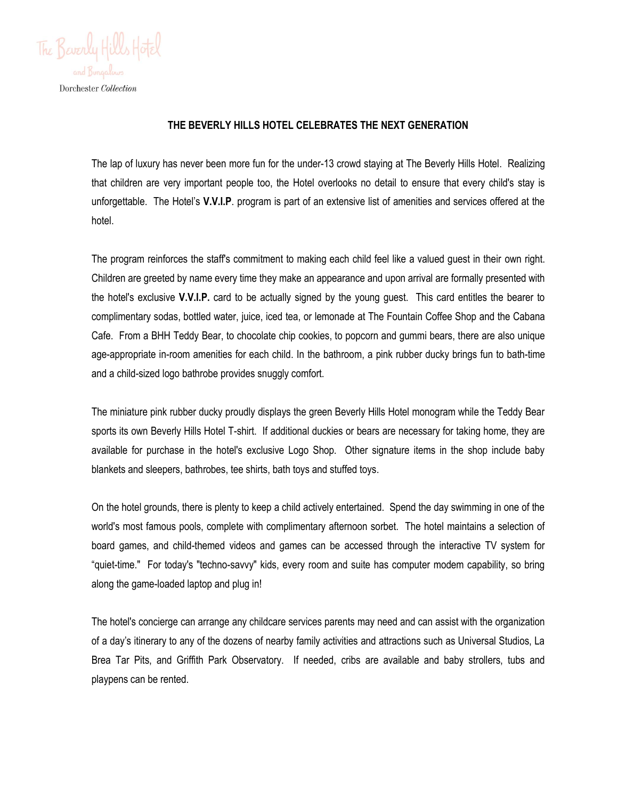

## **THE BEVERLY HILLS HOTEL CELEBRATES THE NEXT GENERATION**

The lap of luxury has never been more fun for the under-13 crowd staying at The Beverly Hills Hotel. Realizing that children are very important people too, the Hotel overlooks no detail to ensure that every child's stay is unforgettable. The Hotel's **V.V.I.P**. program is part of an extensive list of amenities and services offered at the hotel.

The program reinforces the staff's commitment to making each child feel like a valued guest in their own right. Children are greeted by name every time they make an appearance and upon arrival are formally presented with the hotel's exclusive **V.V.I.P.** card to be actually signed by the young guest. This card entitles the bearer to complimentary sodas, bottled water, juice, iced tea, or lemonade at The Fountain Coffee Shop and the Cabana Cafe. From a BHH Teddy Bear, to chocolate chip cookies, to popcorn and gummi bears, there are also unique age-appropriate in-room amenities for each child. In the bathroom, a pink rubber ducky brings fun to bath-time and a child-sized logo bathrobe provides snuggly comfort.

The miniature pink rubber ducky proudly displays the green Beverly Hills Hotel monogram while the Teddy Bear sports its own Beverly Hills Hotel T-shirt. If additional duckies or bears are necessary for taking home, they are available for purchase in the hotel's exclusive Logo Shop. Other signature items in the shop include baby blankets and sleepers, bathrobes, tee shirts, bath toys and stuffed toys.

On the hotel grounds, there is plenty to keep a child actively entertained. Spend the day swimming in one of the world's most famous pools, complete with complimentary afternoon sorbet. The hotel maintains a selection of board games, and child-themed videos and games can be accessed through the interactive TV system for "quiet-time." For today's "techno-savvy" kids, every room and suite has computer modem capability, so bring along the game-loaded laptop and plug in!

The hotel's concierge can arrange any childcare services parents may need and can assist with the organization of a day's itinerary to any of the dozens of nearby family activities and attractions such as Universal Studios, La Brea Tar Pits, and Griffith Park Observatory. If needed, cribs are available and baby strollers, tubs and playpens can be rented.